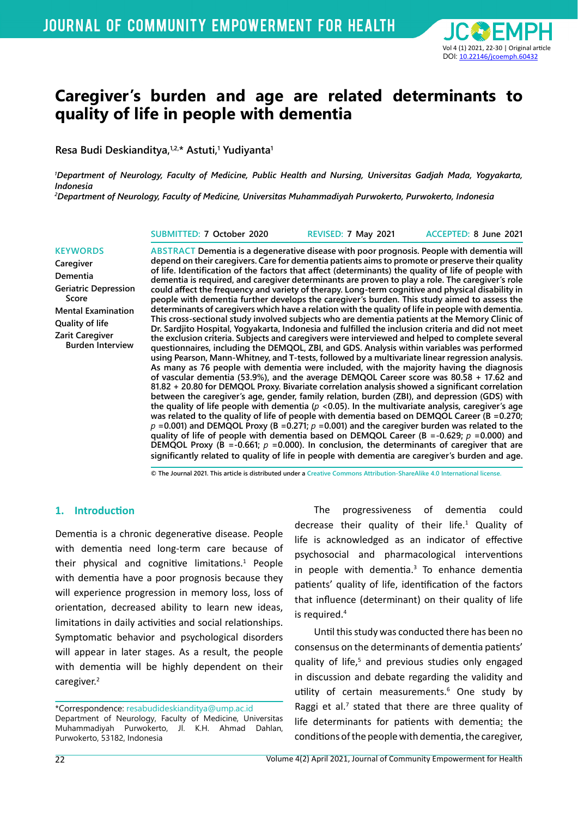

# **Caregiver's burden and age are related determinants to quality of life in people with dementia**

**Resa Budi Deskianditya,1,2,\* Astuti,1 Yudiyanta1**

*1 Department of Neurology, Faculty of Medicine, Public Health and Nursing, Universitas Gadjah Mada, Yogyakarta, Indonesia 2 Department of Neurology, Faculty of Medicine, Universitas Muhammadiyah Purwokerto, Purwokerto, Indonesia*

**SUBMITTED: 7 October 2020 REVISED: 7 May 2021 ACCEPTED: 8 June 2021**

#### **KEYWORDS Caregiver Dementia Geriatric Depression Score Mental Examination Quality of life Zarit Caregiver Burden Interview**

**ABSTRACT Dementia is a degenerative disease with poor prognosis. People with dementia will depend on their caregivers. Care for dementia patients aims to promote or preserve their quality of life. Identification of the factors that affect (determinants) the quality of life of people with dementia is required, and caregiver determinants are proven to play a role. The caregiver's role could affect the frequency and variety of therapy. Long-term cognitive and physical disability in people with dementia further develops the caregiver's burden. This study aimed to assess the determinants of caregivers which have a relation with the quality of life in people with dementia. This cross-sectional study involved subjects who are dementia patients at the Memory Clinic of Dr. Sardjito Hospital, Yogyakarta, Indonesia and fulfilled the inclusion criteria and did not meet the exclusion criteria. Subjects and caregivers were interviewed and helped to complete several questionnaires, including the DEMQOL, ZBI, and GDS. Analysis within variables was performed using Pearson, Mann-Whitney, and T-tests, followed by a multivariate linear regression analysis. As many as 76 people with dementia were included, with the majority having the diagnosis of vascular dementia (53.9%), and the average DEMQOL Career score was 80.58 + 17.62 and 81.82 + 20.80 for DEMQOL Proxy. Bivariate correlation analysis showed a significant correlation between the caregiver's age, gender, family relation, burden (ZBI), and depression (GDS) with the quality of life people with dementia (***p* **<0.05). In the multivariate analysis, caregiver's age was related to the quality of life of people with dementia based on DEMQOL Career (B =0.270;**   $p = 0.001$  and DEMQOL Proxy (B = 0.271;  $p = 0.001$ ) and the caregiver burden was related to the **quality of life of people with dementia based on DEMQOL Career (B =-0.629;** *p* **=0.000) and DEMQOL Proxy (B =-0.661;** *p* **=0.000). In conclusion, the determinants of caregiver that are significantly related to quality of life in people with dementia are caregiver's burden and age.** 

**© The Journal 2021. This article is distributed under a Creative Commons Attribution-ShareAlike 4.0 International license.**

#### **1. Introduction**

Dementia is a chronic degenerative disease. People with dementia need long-term care because of their physical and cognitive limitations. $1$  People with dementia have a poor prognosis because they will experience progression in memory loss, loss of orientation, decreased ability to learn new ideas, limitations in daily activities and social relationships. Symptomatic behavior and psychological disorders will appear in later stages. As a result, the people with dementia will be highly dependent on their caregiver.<sup>2</sup>

The progressiveness of dementia could decrease their quality of their life.<sup>1</sup> Quality of life is acknowledged as an indicator of effective psychosocial and pharmacological interventions in people with dementia.<sup>3</sup> To enhance dementia patients' quality of life, identification of the factors that influence (determinant) on their quality of life is required.<sup>4</sup>

Until this study was conducted there has been no consensus on the determinants of dementia patients' quality of life,<sup>5</sup> and previous studies only engaged in discussion and debate regarding the validity and utility of certain measurements.<sup>6</sup> One study by Raggi et al. $<sup>7</sup>$  stated that there are three quality of</sup> life determinants for patients with dementia: the conditions of the people with dementia, the caregiver,

<sup>\*</sup>Correspondence: resabudideskianditya@ump.ac.id Department of Neurology, Faculty of Medicine, Universitas Muhammadiyah Purwokerto, Jl. K.H. Ahmad Dahlan, Purwokerto, 53182, Indonesia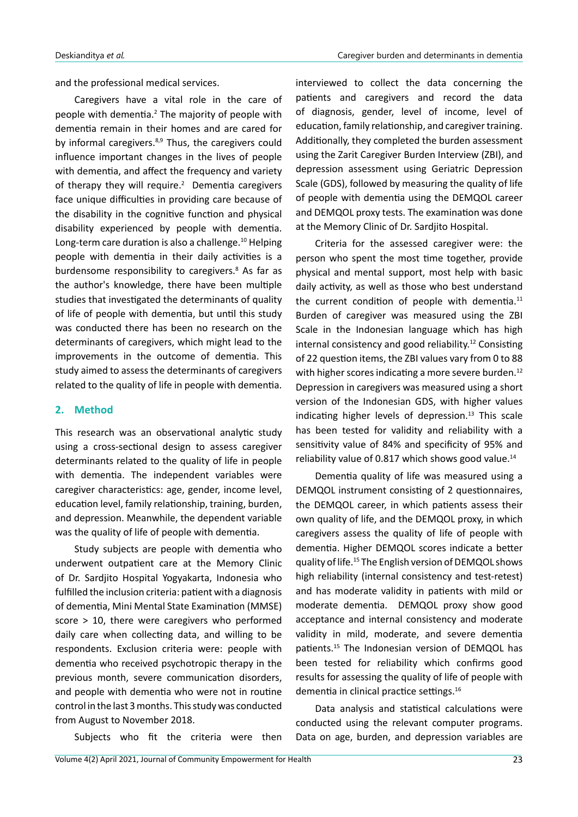and the professional medical services.

Caregivers have a vital role in the care of people with dementia.<sup>2</sup> The majority of people with dementia remain in their homes and are cared for by informal caregivers.<sup>8,9</sup> Thus, the caregivers could influence important changes in the lives of people with dementia, and affect the frequency and variety of therapy they will require. $2$  Dementia caregivers face unique difficulties in providing care because of the disability in the cognitive function and physical disability experienced by people with dementia. Long-term care duration is also a challenge.<sup>10</sup> Helping people with dementia in their daily activities is a burdensome responsibility to caregivers.<sup>8</sup> As far as the author's knowledge, there have been multiple studies that investigated the determinants of quality of life of people with dementia, but until this study was conducted there has been no research on the determinants of caregivers, which might lead to the improvements in the outcome of dementia. This study aimed to assess the determinants of caregivers related to the quality of life in people with dementia.

#### **2. Method**

This research was an observational analytic study using a cross-sectional design to assess caregiver determinants related to the quality of life in people with dementia. The independent variables were caregiver characteristics: age, gender, income level, education level, family relationship, training, burden, and depression. Meanwhile, the dependent variable was the quality of life of people with dementia.

Study subjects are people with dementia who underwent outpatient care at the Memory Clinic of Dr. Sardjito Hospital Yogyakarta, Indonesia who fulfilled the inclusion criteria: patient with a diagnosis of dementia, Mini Mental State Examination (MMSE) score > 10, there were caregivers who performed daily care when collecting data, and willing to be respondents. Exclusion criteria were: people with dementia who received psychotropic therapy in the previous month, severe communication disorders, and people with dementia who were not in routine control in the last 3 months. This study was conducted from August to November 2018.

Subjects who fit the criteria were then

interviewed to collect the data concerning the patients and caregivers and record the data of diagnosis, gender, level of income, level of education, family relationship, and caregiver training. Additionally, they completed the burden assessment using the Zarit Caregiver Burden Interview (ZBI), and depression assessment using Geriatric Depression Scale (GDS), followed by measuring the quality of life of people with dementia using the DEMQOL career and DEMQOL proxy tests. The examination was done at the Memory Clinic of Dr. Sardjito Hospital.

Criteria for the assessed caregiver were: the person who spent the most time together, provide physical and mental support, most help with basic daily activity, as well as those who best understand the current condition of people with dementia.<sup>11</sup> Burden of caregiver was measured using the ZBI Scale in the Indonesian language which has high internal consistency and good reliability.<sup>12</sup> Consisting of 22 question items, the ZBI values vary from 0 to 88 with higher scores indicating a more severe burden.<sup>12</sup> Depression in caregivers was measured using a short version of the Indonesian GDS, with higher values indicating higher levels of depression. $13$  This scale has been tested for validity and reliability with a sensitivity value of 84% and specificity of 95% and reliability value of 0.817 which shows good value.<sup>14</sup>

Dementia quality of life was measured using a DEMQOL instrument consisting of 2 questionnaires, the DEMQOL career, in which patients assess their own quality of life, and the DEMQOL proxy, in which caregivers assess the quality of life of people with dementia. Higher DEMQOL scores indicate a better quality of life.<sup>15</sup> The English version of DEMQOL shows high reliability (internal consistency and test-retest) and has moderate validity in patients with mild or moderate dementia. DEMQOL proxy show good acceptance and internal consistency and moderate validity in mild, moderate, and severe dementia patients.<sup>15</sup> The Indonesian version of DEMQOL has been tested for reliability which confirms good results for assessing the quality of life of people with dementia in clinical practice settings.<sup>16</sup>

Data analysis and statistical calculations were conducted using the relevant computer programs. Data on age, burden, and depression variables are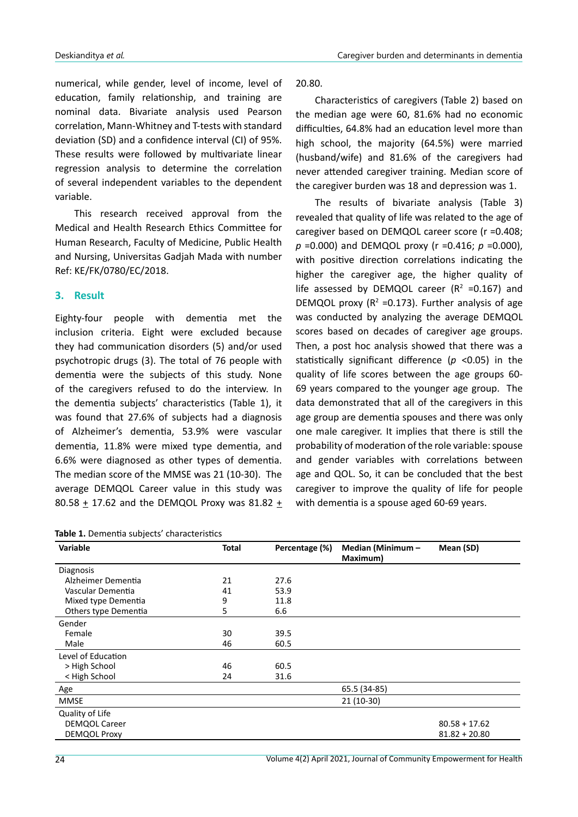numerical, while gender, level of income, level of education, family relationship, and training are nominal data. Bivariate analysis used Pearson correlation, Mann-Whitney and T-tests with standard deviation (SD) and a confidence interval (CI) of 95%. These results were followed by multivariate linear regression analysis to determine the correlation of several independent variables to the dependent variable.

This research received approval from the Medical and Health Research Ethics Committee for Human Research, Faculty of Medicine, Public Health and Nursing, Universitas Gadjah Mada with number Ref: KE/FK/0780/EC/2018.

## **3. Result**

Eighty-four people with dementia met the inclusion criteria. Eight were excluded because they had communication disorders (5) and/or used psychotropic drugs (3). The total of 76 people with dementia were the subjects of this study. None of the caregivers refused to do the interview. In the dementia subjects' characteristics (Table 1), it was found that 27.6% of subjects had a diagnosis of Alzheimer's dementia, 53.9% were vascular dementia, 11.8% were mixed type dementia, and 6.6% were diagnosed as other types of dementia. The median score of the MMSE was 21 (10-30). The average DEMQOL Career value in this study was 80.58  $\pm$  17.62 and the DEMQOL Proxy was 81.82  $\pm$ 

**Table 1.** Dementia subjects' characteristics

20.80.

Characteristics of caregivers (Table 2) based on the median age were 60, 81.6% had no economic difficulties, 64.8% had an education level more than high school, the majority (64.5%) were married (husband/wife) and 81.6% of the caregivers had never attended caregiver training. Median score of the caregiver burden was 18 and depression was 1.

The results of bivariate analysis (Table 3) revealed that quality of life was related to the age of caregiver based on DEMQOL career score (r =0.408; *p* =0.000) and DEMQOL proxy (r =0.416; *p* =0.000), with positive direction correlations indicating the higher the caregiver age, the higher quality of life assessed by DEMQOL career ( $R^2$  =0.167) and DEMQOL proxy ( $R^2$  =0.173). Further analysis of age was conducted by analyzing the average DEMQOL scores based on decades of caregiver age groups. Then, a post hoc analysis showed that there was a statistically significant difference (*p* <0.05) in the quality of life scores between the age groups 60- 69 years compared to the younger age group. The data demonstrated that all of the caregivers in this age group are dementia spouses and there was only one male caregiver. It implies that there is still the probability of moderation of the role variable: spouse and gender variables with correlations between age and QOL. So, it can be concluded that the best caregiver to improve the quality of life for people with dementia is a spouse aged 60-69 years.

| <b>Variable</b>      | <b>Total</b><br>Percentage (%) |      | Median (Minimum -<br>Maximum) | Mean (SD)       |  |
|----------------------|--------------------------------|------|-------------------------------|-----------------|--|
| <b>Diagnosis</b>     |                                |      |                               |                 |  |
| Alzheimer Dementia   | 21                             | 27.6 |                               |                 |  |
| Vascular Dementia    | 41                             | 53.9 |                               |                 |  |
| Mixed type Dementia  | 9                              | 11.8 |                               |                 |  |
| Others type Dementia | 5                              | 6.6  |                               |                 |  |
| Gender               |                                |      |                               |                 |  |
| Female               | 30                             | 39.5 |                               |                 |  |
| Male                 | 46                             | 60.5 |                               |                 |  |
| Level of Education   |                                |      |                               |                 |  |
| > High School        | 46                             | 60.5 |                               |                 |  |
| < High School        | 24                             | 31.6 |                               |                 |  |
| Age                  |                                |      | 65.5 (34-85)                  |                 |  |
| <b>MMSE</b>          |                                |      | 21 (10-30)                    |                 |  |
| Quality of Life      |                                |      |                               |                 |  |
| <b>DEMQOL Career</b> |                                |      |                               | $80.58 + 17.62$ |  |
| DEMQOL Proxy         |                                |      |                               | $81.82 + 20.80$ |  |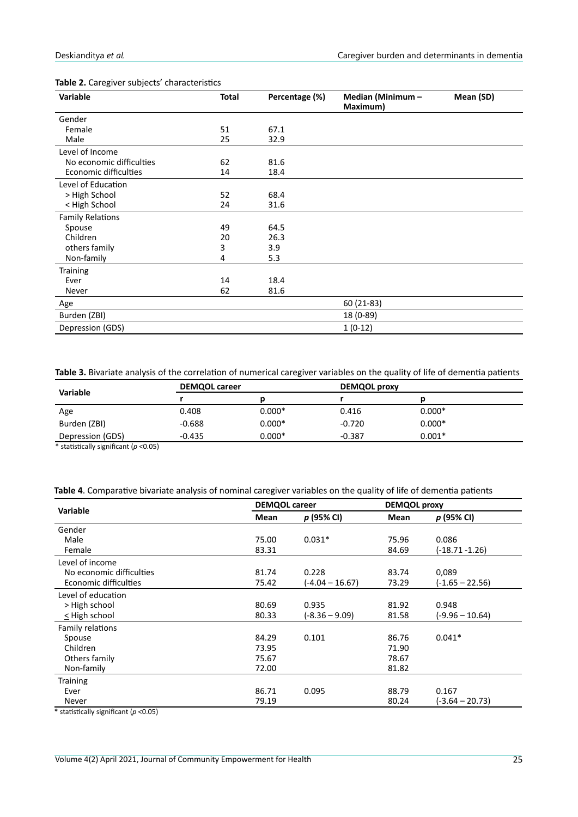| Variable                 | <b>Total</b> | Percentage (%) | Median (Minimum -<br>Maximum) | Mean (SD) |
|--------------------------|--------------|----------------|-------------------------------|-----------|
| Gender                   |              |                |                               |           |
| Female                   | 51           | 67.1           |                               |           |
| Male                     | 25           | 32.9           |                               |           |
| Level of Income          |              |                |                               |           |
| No economic difficulties | 62           | 81.6           |                               |           |
| Economic difficulties    | 14           | 18.4           |                               |           |
| Level of Education       |              |                |                               |           |
| > High School            | 52           | 68.4           |                               |           |
| < High School            | 24           | 31.6           |                               |           |
| <b>Family Relations</b>  |              |                |                               |           |
| Spouse                   | 49           | 64.5           |                               |           |
| Children                 | 20           | 26.3           |                               |           |
| others family            | 3            | 3.9            |                               |           |
| Non-family               | 4            | 5.3            |                               |           |
| <b>Training</b>          |              |                |                               |           |
| Ever                     | 14           | 18.4           |                               |           |
| Never                    | 62           | 81.6           |                               |           |
| Age                      |              |                | 60 (21-83)                    |           |
| Burden (ZBI)             |              |                | 18 (0-89)                     |           |
| Depression (GDS)         |              |                | $1(0-12)$                     |           |

#### **Table 2.** Caregiver subjects' characteristics

**Table 3.** Bivariate analysis of the correlation of numerical caregiver variables on the quality of life of dementia patients

| Variable         | <b>DEMQOL career</b> |          | <b>DEMQOL proxy</b> |          |  |
|------------------|----------------------|----------|---------------------|----------|--|
|                  |                      |          |                     |          |  |
| Age              | 0.408                | $0.000*$ | 0.416               | $0.000*$ |  |
| Burden (ZBI)     | $-0.688$             | $0.000*$ | $-0.720$            | $0.000*$ |  |
| Depression (GDS) | $-0.435$             | $0.000*$ | $-0.387$            | $0.001*$ |  |

\* statistically significant (*p* <0.05)

|  |  | Table 4. Comparative bivariate analysis of nominal caregiver variables on the quality of life of dementia patients |
|--|--|--------------------------------------------------------------------------------------------------------------------|
|--|--|--------------------------------------------------------------------------------------------------------------------|

|                          | <b>DEMQOL career</b> |                   |       | <b>DEMQOL proxy</b> |  |
|--------------------------|----------------------|-------------------|-------|---------------------|--|
| Variable                 | Mean                 | p (95% CI)        | Mean  | p (95% CI)          |  |
| Gender                   |                      |                   |       |                     |  |
| Male                     | 75.00                | $0.031*$          | 75.96 | 0.086               |  |
| Female                   | 83.31                |                   | 84.69 | (-18.71 -1.26)      |  |
| Level of income          |                      |                   |       |                     |  |
| No economic difficulties | 81.74                | 0.228             | 83.74 | 0,089               |  |
| Economic difficulties    | 75.42                | $(-4.04 - 16.67)$ | 73.29 | $(-1.65 - 22.56)$   |  |
| Level of education       |                      |                   |       |                     |  |
| > High school            | 80.69                | 0.935             | 81.92 | 0.948               |  |
| < High school            | 80.33                | (-8.36 – 9.09)    | 81.58 | (-9.96 – 10.64)     |  |
| Family relations         |                      |                   |       |                     |  |
| Spouse                   | 84.29                | 0.101             | 86.76 | $0.041*$            |  |
| Children                 | 73.95                |                   | 71.90 |                     |  |
| Others family            | 75.67                |                   | 78.67 |                     |  |
| Non-family               | 72.00                |                   | 81.82 |                     |  |
| <b>Training</b>          |                      |                   |       |                     |  |
| Ever                     | 86.71                | 0.095             | 88.79 | 0.167               |  |
| Never                    | 79.19                |                   | 80.24 | (-3.64 – 20.73)     |  |

\* statistically significant (*p* <0.05)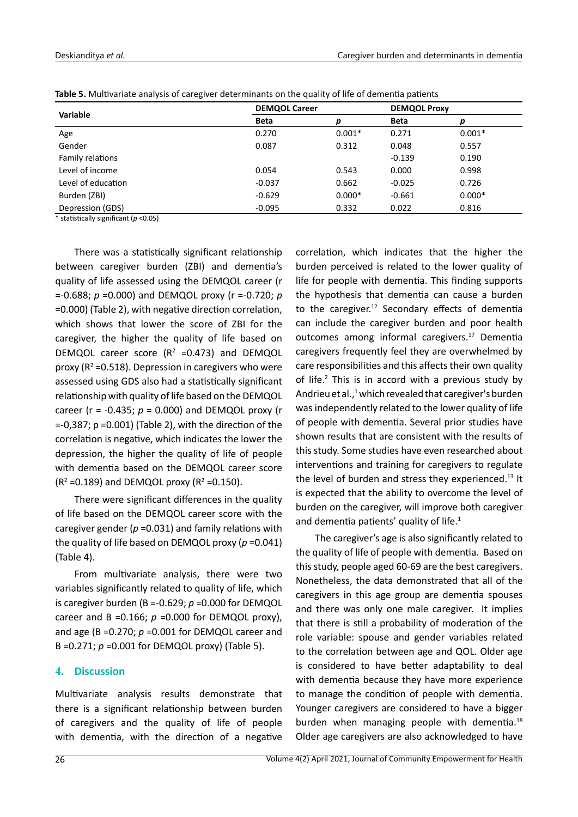| <b>Variable</b>    | <b>DEMQOL Career</b> |          | <b>DEMQOL Proxy</b> |          |
|--------------------|----------------------|----------|---------------------|----------|
|                    | <b>Beta</b>          |          | <b>Beta</b>         |          |
| Age                | 0.270                | $0.001*$ | 0.271               | $0.001*$ |
| Gender             | 0.087                | 0.312    | 0.048               | 0.557    |
| Family relations   |                      |          | $-0.139$            | 0.190    |
| Level of income    | 0.054                | 0.543    | 0.000               | 0.998    |
| Level of education | $-0.037$             | 0.662    | $-0.025$            | 0.726    |
| Burden (ZBI)       | $-0.629$             | $0.000*$ | $-0.661$            | $0.000*$ |
| Depression (GDS)   | $-0.095$             | 0.332    | 0.022               | 0.816    |

| Table 5. Multivariate analysis of caregiver determinants on the quality of life of dementia patients |  |
|------------------------------------------------------------------------------------------------------|--|
|------------------------------------------------------------------------------------------------------|--|

\* statistically significant (*p* <0.05)

There was a statistically significant relationship between caregiver burden (ZBI) and dementia's quality of life assessed using the DEMQOL career (r =-0.688; *p* =0.000) and DEMQOL proxy (r =-0.720; *p* =0.000) (Table 2), with negative direction correlation, which shows that lower the score of ZBI for the caregiver, the higher the quality of life based on DEMQOL career score  $(R^2 = 0.473)$  and DEMQOL proxy ( $R^2$  =0.518). Depression in caregivers who were assessed using GDS also had a statistically significant relationship with quality of life based on the DEMQOL career (r = -0.435; *p* = 0.000) and DEMQOL proxy (r =-0,387; p =0.001) (Table 2), with the direction of the correlation is negative, which indicates the lower the depression, the higher the quality of life of people with dementia based on the DEMQOL career score  $(R^2 = 0.189)$  and DEMQOL proxy ( $R^2 = 0.150$ ).

There were significant differences in the quality of life based on the DEMQOL career score with the caregiver gender ( $p = 0.031$ ) and family relations with the quality of life based on DEMQOL proxy (*p* =0.041) (Table 4).

From multivariate analysis, there were two variables significantly related to quality of life, which is caregiver burden (B =-0.629; *p* =0.000 for DEMQOL career and B =0.166;  $p = 0.000$  for DEMQOL proxy), and age (B =0.270; *p* =0.001 for DEMQOL career and B =0.271; *p* =0.001 for DEMQOL proxy) (Table 5).

#### **4. Discussion**

Multivariate analysis results demonstrate that there is a significant relationship between burden of caregivers and the quality of life of people with dementia, with the direction of a negative

correlation, which indicates that the higher the burden perceived is related to the lower quality of life for people with dementia. This finding supports the hypothesis that dementia can cause a burden to the caregiver.<sup>12</sup> Secondary effects of dementia can include the caregiver burden and poor health outcomes among informal caregivers.<sup>17</sup> Dementia caregivers frequently feel they are overwhelmed by care responsibilities and this affects their own quality of life.<sup>2</sup> This is in accord with a previous study by Andrieu et al.,<sup>1</sup> which revealed that caregiver's burden was independently related to the lower quality of life of people with dementia. Several prior studies have shown results that are consistent with the results of this study. Some studies have even researched about interventions and training for caregivers to regulate the level of burden and stress they experienced.<sup>13</sup> It is expected that the ability to overcome the level of burden on the caregiver, will improve both caregiver and dementia patients' quality of life.<sup>1</sup>

The caregiver's age is also significantly related to the quality of life of people with dementia. Based on this study, people aged 60-69 are the best caregivers. Nonetheless, the data demonstrated that all of the caregivers in this age group are dementia spouses and there was only one male caregiver. It implies that there is still a probability of moderation of the role variable: spouse and gender variables related to the correlation between age and QOL. Older age is considered to have better adaptability to deal with dementia because they have more experience to manage the condition of people with dementia. Younger caregivers are considered to have a bigger burden when managing people with dementia.<sup>18</sup> Older age caregivers are also acknowledged to have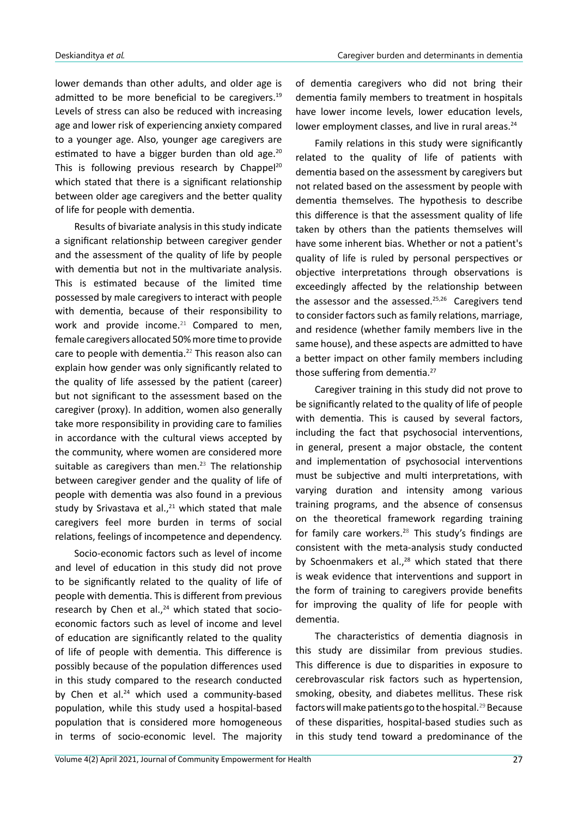lower demands than other adults, and older age is admitted to be more beneficial to be caregivers.<sup>19</sup> Levels of stress can also be reduced with increasing age and lower risk of experiencing anxiety compared to a younger age. Also, younger age caregivers are estimated to have a bigger burden than old age.<sup>20</sup> This is following previous research by Chappel<sup>20</sup> which stated that there is a significant relationship between older age caregivers and the better quality of life for people with dementia.

Results of bivariate analysis in this study indicate a significant relationship between caregiver gender and the assessment of the quality of life by people with dementia but not in the multivariate analysis. This is estimated because of the limited time possessed by male caregivers to interact with people with dementia, because of their responsibility to work and provide income.<sup>21</sup> Compared to men, female caregivers allocated 50% more time to provide care to people with dementia.<sup>22</sup> This reason also can explain how gender was only significantly related to the quality of life assessed by the patient (career) but not significant to the assessment based on the caregiver (proxy). In addition, women also generally take more responsibility in providing care to families in accordance with the cultural views accepted by the community, where women are considered more suitable as caregivers than men. $23$  The relationship between caregiver gender and the quality of life of people with dementia was also found in a previous study by Srivastava et al., $21$  which stated that male caregivers feel more burden in terms of social relations, feelings of incompetence and dependency.

Socio-economic factors such as level of income and level of education in this study did not prove to be significantly related to the quality of life of people with dementia. This is different from previous research by Chen et al., $24$  which stated that socioeconomic factors such as level of income and level of education are significantly related to the quality of life of people with dementia. This difference is possibly because of the population differences used in this study compared to the research conducted by Chen et al.<sup>24</sup> which used a community-based population, while this study used a hospital-based population that is considered more homogeneous in terms of socio-economic level. The majority

of dementia caregivers who did not bring their dementia family members to treatment in hospitals have lower income levels, lower education levels, lower employment classes, and live in rural areas.<sup>24</sup>

Family relations in this study were significantly related to the quality of life of patients with dementia based on the assessment by caregivers but not related based on the assessment by people with dementia themselves. The hypothesis to describe this difference is that the assessment quality of life taken by others than the patients themselves will have some inherent bias. Whether or not a patient's quality of life is ruled by personal perspectives or objective interpretations through observations is exceedingly affected by the relationship between the assessor and the assessed.<sup>25,26</sup> Caregivers tend to consider factors such as family relations, marriage, and residence (whether family members live in the same house), and these aspects are admitted to have a better impact on other family members including those suffering from dementia.<sup>27</sup>

Caregiver training in this study did not prove to be significantly related to the quality of life of people with dementia. This is caused by several factors, including the fact that psychosocial interventions, in general, present a major obstacle, the content and implementation of psychosocial interventions must be subjective and multi interpretations, with varying duration and intensity among various training programs, and the absence of consensus on the theoretical framework regarding training for family care workers. $28$  This study's findings are consistent with the meta-analysis study conducted by Schoenmakers et al., $^{28}$  which stated that there is weak evidence that interventions and support in the form of training to caregivers provide benefits for improving the quality of life for people with dementia.

The characteristics of dementia diagnosis in this study are dissimilar from previous studies. This difference is due to disparities in exposure to cerebrovascular risk factors such as hypertension, smoking, obesity, and diabetes mellitus. These risk factors will make patients go to the hospital.<sup>29</sup> Because of these disparities, hospital-based studies such as in this study tend toward a predominance of the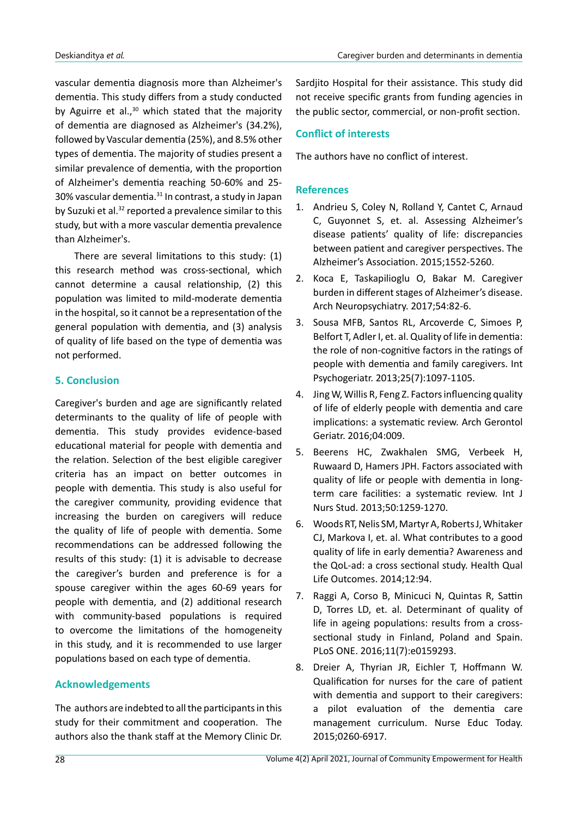vascular dementia diagnosis more than Alzheimer's dementia. This study differs from a study conducted by Aguirre et al., $30$  which stated that the majority of dementia are diagnosed as Alzheimer's (34.2%), followed by Vascular dementia (25%), and 8.5% other types of dementia. The majority of studies present a similar prevalence of dementia, with the proportion of Alzheimer's dementia reaching 50-60% and 25- 30% vascular dementia.<sup>31</sup> In contrast, a study in Japan by Suzuki et al.<sup>32</sup> reported a prevalence similar to this study, but with a more vascular dementia prevalence than Alzheimer's.

There are several limitations to this study: (1) this research method was cross-sectional, which cannot determine a causal relationship, (2) this population was limited to mild-moderate dementia in the hospital, so it cannot be a representation of the general population with dementia, and (3) analysis of quality of life based on the type of dementia was not performed.

# **5. Conclusion**

Caregiver's burden and age are significantly related determinants to the quality of life of people with dementia. This study provides evidence-based educational material for people with dementia and the relation. Selection of the best eligible caregiver criteria has an impact on better outcomes in people with dementia. This study is also useful for the caregiver community, providing evidence that increasing the burden on caregivers will reduce the quality of life of people with dementia. Some recommendations can be addressed following the results of this study: (1) it is advisable to decrease the caregiver's burden and preference is for a spouse caregiver within the ages 60-69 years for people with dementia, and (2) additional research with community-based populations is required to overcome the limitations of the homogeneity in this study, and it is recommended to use larger populations based on each type of dementia.

# **Acknowledgements**

The authors are indebted to all the participants in this study for their commitment and cooperation. The authors also the thank staff at the Memory Clinic Dr. Sardjito Hospital for their assistance. This study did not receive specific grants from funding agencies in the public sector, commercial, or non-profit section.

### **Conflict of interests**

The authors have no conflict of interest.

## **References**

- 1. Andrieu S, Coley N, Rolland Y, Cantet C, Arnaud C, Guyonnet S, et. al. Assessing Alzheimer's disease patients' quality of life: discrepancies between patient and caregiver perspectives. The Alzheimer's Association. 2015;1552-5260.
- 2. Koca E, Taskapilioglu O, Bakar M. Caregiver burden in different stages of Alzheimer's disease. Arch Neuropsychiatry. 2017;54:82-6.
- 3. Sousa MFB, Santos RL, Arcoverde C, Simoes P, Belfort T, Adler I, et. al. Quality of life in dementia: the role of non-cognitive factors in the ratings of people with dementia and family caregivers. Int Psychogeriatr. 2013;25(7):1097-1105.
- 4. Jing W, Willis R, Feng Z. Factors influencing quality of life of elderly people with dementia and care implications: a systematic review. Arch Gerontol Geriatr. 2016;04:009.
- 5. Beerens HC, Zwakhalen SMG, Verbeek H, Ruwaard D, Hamers JPH. Factors associated with quality of life or people with dementia in longterm care facilities: a systematic review. Int J Nurs Stud. 2013;50:1259-1270.
- 6. Woods RT, Nelis SM, Martyr A, Roberts J, Whitaker CJ, Markova I, et. al. What contributes to a good quality of life in early dementia? Awareness and the QoL-ad: a cross sectional study. Health Qual Life Outcomes. 2014;12:94.
- 7. Raggi A, Corso B, Minicuci N, Quintas R, Sattin D, Torres LD, et. al. Determinant of quality of life in ageing populations: results from a crosssectional study in Finland, Poland and Spain. PLoS ONE. 2016;11(7):e0159293.
- 8. Dreier A, Thyrian JR, Eichler T, Hoffmann W. Qualification for nurses for the care of patient with dementia and support to their caregivers: a pilot evaluation of the dementia care management curriculum. Nurse Educ Today. 2015;0260-6917.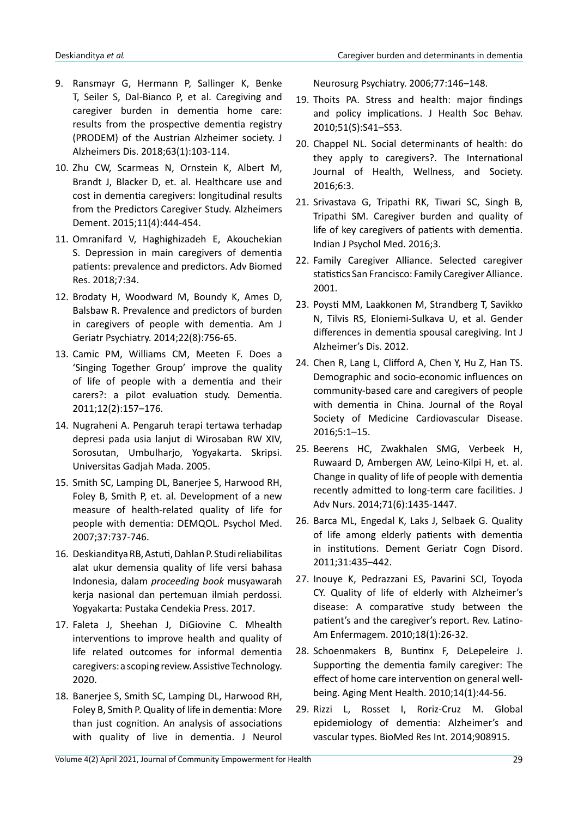- 9. Ransmayr G, Hermann P, Sallinger K, Benke T, Seiler S, Dal-Bianco P, et al. Caregiving and caregiver burden in dementia home care: results from the prospective dementia registry (PRODEM) of the Austrian Alzheimer society. J Alzheimers Dis. 2018;63(1):103-114.
- 10. Zhu CW, Scarmeas N, Ornstein K, Albert M, Brandt J, Blacker D, et. al. Healthcare use and cost in dementia caregivers: longitudinal results from the Predictors Caregiver Study. Alzheimers Dement. 2015;11(4):444-454.
- 11. Omranifard V, Haghighizadeh E, Akouchekian S. Depression in main caregivers of dementia patients: prevalence and predictors. Adv Biomed Res. 2018;7:34.
- 12. Brodaty H, Woodward M, Boundy K, Ames D, Balsbaw R. Prevalence and predictors of burden in caregivers of people with dementia. Am J Geriatr Psychiatry. 2014;22(8):756-65.
- 13. Camic PM, Williams CM, Meeten F. Does a 'Singing Together Group' improve the quality of life of people with a dementia and their carers?: a pilot evaluation study. Dementia. 2011;12(2):157–176.
- 14. Nugraheni A. Pengaruh terapi tertawa terhadap depresi pada usia lanjut di Wirosaban RW XIV, Sorosutan, Umbulharjo, Yogyakarta. Skripsi. Universitas Gadjah Mada. 2005.
- 15. Smith SC, Lamping DL, Banerjee S, Harwood RH, Foley B, Smith P, et. al. Development of a new measure of health-related quality of life for people with dementia: DEMQOL. Psychol Med. 2007;37:737-746.
- 16. Deskianditya RB, Astuti, Dahlan P. Studi reliabilitas alat ukur demensia quality of life versi bahasa Indonesia, dalam *proceeding book* musyawarah kerja nasional dan pertemuan ilmiah perdossi. Yogyakarta: Pustaka Cendekia Press. 2017.
- 17. Faleta J, Sheehan J, DiGiovine C. Mhealth interventions to improve health and quality of life related outcomes for informal dementia caregivers: a scoping review. Assistive Technology. 2020.
- 18. Banerjee S, Smith SC, Lamping DL, Harwood RH, Foley B, Smith P. Quality of life in dementia: More than just cognition. An analysis of associations with quality of live in dementia. J Neurol

Neurosurg Psychiatry. 2006;77:146–148.

- 19. Thoits PA. Stress and health: major findings and policy implications. J Health Soc Behav. 2010;51(S):S41–S53.
- 20. Chappel NL. Social determinants of health: do they apply to caregivers?. The International Journal of Health, Wellness, and Society. 2016;6:3.
- 21. Srivastava G, Tripathi RK, Tiwari SC, Singh B, Tripathi SM. Caregiver burden and quality of life of key caregivers of patients with dementia. Indian J Psychol Med. 2016;3.
- 22. Family Caregiver Alliance. Selected caregiver statistics San Francisco: Family Caregiver Alliance. 2001.
- 23. Poysti MM, Laakkonen M, Strandberg T, Savikko N, Tilvis RS, Eloniemi-Sulkava U, et al. Gender differences in dementia spousal caregiving. Int J Alzheimer's Dis. 2012.
- 24. Chen R, Lang L, Clifford A, Chen Y, Hu Z, Han TS. Demographic and socio-economic influences on community-based care and caregivers of people with dementia in China. Journal of the Royal Society of Medicine Cardiovascular Disease. 2016;5:1–15.
- 25. Beerens HC, Zwakhalen SMG, Verbeek H, Ruwaard D, Ambergen AW, Leino-Kilpi H, et. al. Change in quality of life of people with dementia recently admitted to long-term care facilities. J Adv Nurs. 2014;71(6):1435-1447.
- 26. Barca ML, Engedal K, Laks J, Selbaek G. Quality of life among elderly patients with dementia in institutions. Dement Geriatr Cogn Disord. 2011;31:435–442.
- 27. Inouye K, Pedrazzani ES, Pavarini SCI, Toyoda CY. Quality of life of elderly with Alzheimer's disease: A comparative study between the patient's and the caregiver's report. Rev. Latino-Am Enfermagem. 2010;18(1):26-32.
- 28. Schoenmakers B, Buntinx F, DeLepeleire J. Supporting the dementia family caregiver: The effect of home care intervention on general wellbeing. Aging Ment Health. 2010;14(1):44-56.
- 29. Rizzi L, Rosset I, Roriz-Cruz M. Global epidemiology of dementia: Alzheimer's and vascular types. BioMed Res Int. 2014;908915.